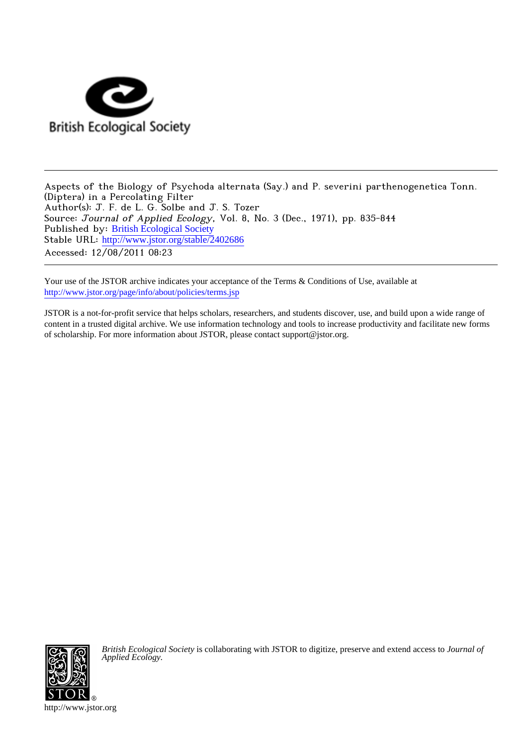

Aspects of the Biology of Psychoda alternata (Say.) and P. severini parthenogenetica Tonn. (Diptera) in a Percolating Filter Author(s): J. F. de L. G. Solbe and J. S. Tozer Source: Journal of Applied Ecology, Vol. 8, No. 3 (Dec., 1971), pp. 835-844 Published by: [British Ecological Society](http://www.jstor.org/action/showPublisher?publisherCode=briteco) Stable URL: [http://www.jstor.org/stable/2402686](http://www.jstor.org/stable/2402686?origin=JSTOR-pdf) Accessed: 12/08/2011 08:23

Your use of the JSTOR archive indicates your acceptance of the Terms & Conditions of Use, available at <http://www.jstor.org/page/info/about/policies/terms.jsp>

JSTOR is a not-for-profit service that helps scholars, researchers, and students discover, use, and build upon a wide range of content in a trusted digital archive. We use information technology and tools to increase productivity and facilitate new forms of scholarship. For more information about JSTOR, please contact support@jstor.org.



*British Ecological Society* is collaborating with JSTOR to digitize, preserve and extend access to *Journal of Applied Ecology.*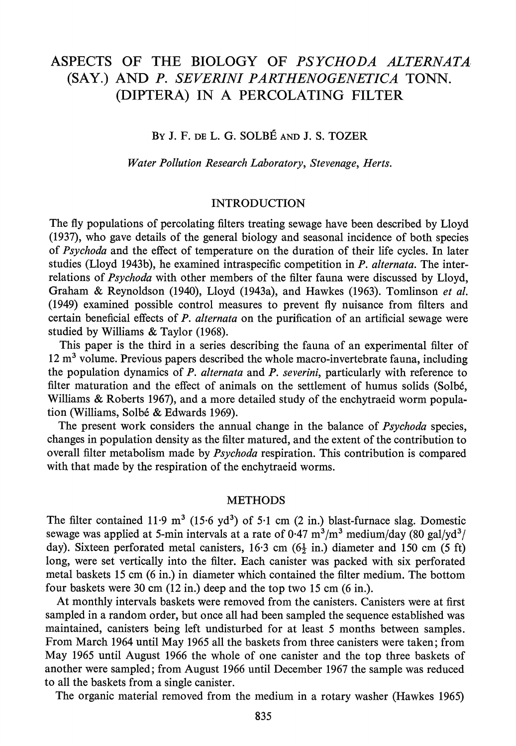# ASPECTS OF THE BIOLOGY OF PS YCHODA ALTERNATA (SAY.) AND P. SEVERINI PARTHENOGENETICA TONN. (DIPTERA) IN A PERCOLATING FILTER

# BY J. F. DE L. G. SOLBÉ AND J. S. TOZER

Water Pollution Research Laboratory, Stevenage, Herts.

## INTRODUCTION

The fly populations of percolating filters treating sewage have been described by Lloyd (1937), who gave details of the general biology and seasonal incidence of both species of Psychoda and the effect of temperature on the duration of their life cycles. In later studies (Lloyd 1943b), he examined intraspecific competition in  $P$ . alternata. The interrelations of Psychoda with other members of the filter fauna were discussed by Lloyd, Graham & Reynoldson (1940), Lloyd (1943a), and Hawkes (1963). Tomlinson et al. (1949) examined possible control measures to prevent fly nuisance from filters and certain beneficial effects of  $P$ . alternata on the purification of an artificial sewage were studied by Williams & Taylor (1968).

This paper is the third in a series describing the fauna of an experimental filter of 12 m3 volume. Previous papers described the whole macro-invertebrate funa, including the population dynamics of  $P$ . alternata and  $P$ . severini, particularly with reference to filter maturation and the effect of animals on the settlement of humus solids (Solbé, Williams & Roberts 1967), and a more detailed study of the enchytraeid worm population (Williams, Solbe & Edwards 1969).

The present work considers the annual change in the balance of *Psychoda* species, changes in population density as the filter matured, and the extent of the contribution to overall filter metabolism made by *Psychoda* respiration. This contribution is compared with that made by the respiration of the enchytraeid worms.

#### METHODS

The filter contained 11.9 m<sup>3</sup> (15.6 yd<sup>3</sup>) of 5.1 cm (2 in.) blast-furnace slag. Domestic sewage was applied at 5-min intervals at a rate of  $0.47 \text{ m}^3/\text{m}^3$  medium/day (80 gal/yd<sup>3</sup>/ day). Sixteen perforated metal canisters,  $16·3$  cm  $(6\frac{1}{2}$  in.) diameter and  $150$  cm  $(5 \text{ ft})$ long, were set vertically into the filter. Each canister was packed with six perforated metal baskets 15 cm (6 in.) in diameter which contained the filter medium. The bottom four baskets were 30 cm (12 in.) deep and the top two 15 cm (6 in.).

At monthly intervals baskets were removed from the canisters. Canisters were at first sampled in a random order, but once all had been sampled the sequence established was maintained, canisters being left undisturbed for at least 5 months between samples. From March 1964 until May 1965 all the baskets from three canisters were taken; from May 1965 until August 1966 the whole of one canister and the top three baskets of another were sampled; from August 1966 until December 1967 the sample was reduced to all the baskets from asingle canister.

The organic material removed from the medium in a rotary washer (Hawkes 1965)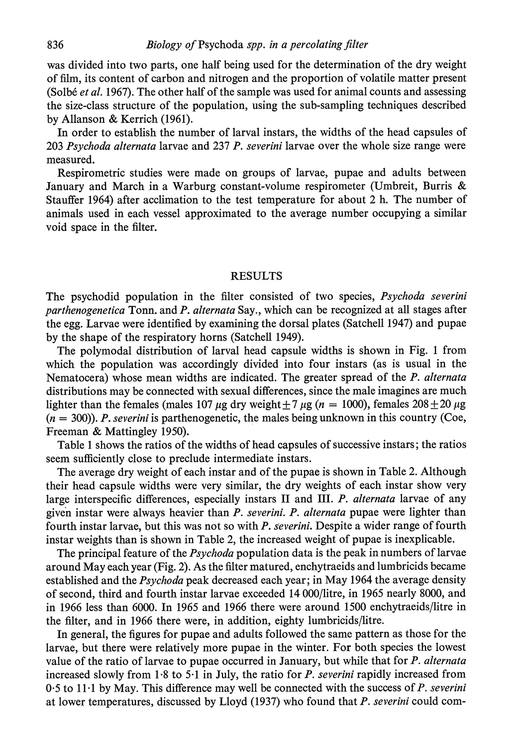was divided into two parts, one half being used for the determination of the dry weight of film, its content of carbon and nitrogen and the proportion of volatile matter present (Solbé *et al.* 1967). The other half of the sample was used for animal counts and assessing the size-classtructure of the population, using the sub-sampling techniques described by Allanson & Kerrich (1961).

In order to establish the number of larval instars, the widths of the head capsules of 203 Psychoda alternata larvae and 237 P. severini larvae over the whole size range were measured.

Respirometric studies were made on groups of larvae, pupae and adults between January and March in a Warburg constant-volume respirometer (Umbreit, Burris & Stauffer 1964) after acclimation to the test temperature for about 2 h. The number of animals used in each vessel approximated to the average number occupying a similar void space in the filter.

#### RESULTS

The psychodid population in the filter consisted of two species, Psychoda severini  $parthenogenetica$  Tonn. and  $P$ . alternata Say., which can be recognized at all stages after the egg. Larvae were identified by examining the dorsal plates (Satchell 1947) and pupae by the shape of the respiratory horns (Satchell 1949).

The polymodal distribution of larval head capsule widths is shown in Fig. 1 from which the population was accordingly divided into four instars (as is usual in the Nematocera) whose mean widths are indicated. The greater spread of the P. alternata distributions may be connected with sexual differences, since the male imagines are much lighter than the females (males 107  $\mu$ g dry weight  $\pm$  7  $\mu$ g (n = 1000), females 208  $\pm$  20  $\mu$ g  $(n = 300)$ ). P. severini is parthenogenetic, the males being unknown in this country (Coe, Freeman & Mattingley 1950).

Table 1 shows the ratios of the widths of head capsules of successive instars; the ratios seem sufficiently close to preclude intermediate instars.

The average dry weight of each instar and of the pupae is shown in Table 2. Although their head capsule widths were very similar, the dry weights of each instar show very large interspecific differences, especially instars II and III.  $P$ . alternata larvae of any given instar were always heavier than  $P$ . severini.  $P$ . alternata pupae were lighter than fourth instar larvae, but this was not so with P. severini. Despite a wider range of fourth instar weights than is shown in Table 2, the increased weight of pupae is inexplicable.

The principal feature of the *Psychoda* population data is the peak in numbers of larvae around May each year (Fig. 2). As the filter matured, enchytraeids and lumbricids became established and the Psychoda peak decreased each year; in May 1964 the average density of second, third and fourth instar larvae exceeded 14 000/litre, in1965 nearly 8000, and in 1966 less than 6000. In 1965 and 1966 there were around 1500 enchytraeids/litre in the filter, and in 1966 there were, in addition, eighty lumbricids/litre.

In general, the figures for pupae and adults followed the same pattern as those for the larvae, but there were relatively more pupae in the winter. For both species the lowest value of the ratio of larvae to pupae occurred in January, but while that for P. alternata increased slowly from  $1.8$  to  $5.1$  in July, the ratio for P. severini rapidly increased from  $0.5$  to  $11.1$  by May. This difference may well be connected with the success of P. severini at lower temperatures, discussed by Lloyd (1937) who found that P. severini could com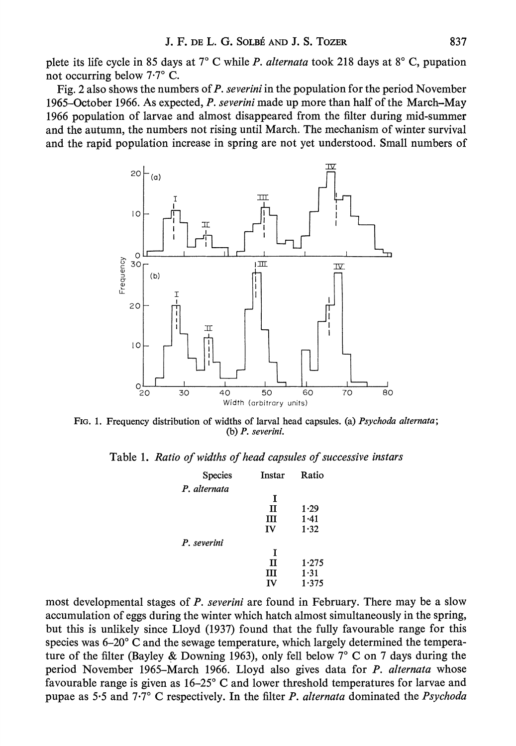plete its life cycle in 85 days at  $7^{\circ}$  C while *P. alternata* took 218 days at  $8^{\circ}$  C, pupation not occurring below  $7.7^{\circ}$  C.

Fig. 2 also shows the numbers of P. severini in the population for the period November 1965–October 1966. As expected, P. severini made up more than half of the March–May 1966 population of larvae and almost disappeared from the filter during mid-summer and the autumn, the numbers not rising until March. The mechanism of winter survival and the rapid population increase in spring are not yet understood. Small numbers of



FIG. 1. Frequency distribution of widths of larval head capsules. (a) Psychoda alternata;  $(b)$  P. severini.

Table 1. Ratio of widths of head capsules of successive instars

| <b>Species</b> | Instar      | Ratio |
|----------------|-------------|-------|
| P. alternata   |             |       |
|                | T           |       |
|                | П           | 1.29  |
|                | ш           | 1.41  |
|                | TV          | 1.32  |
| P. severini    |             |       |
|                | T           |       |
|                | $_{\rm II}$ | 1.275 |
|                | Ш           | 1.31  |
|                | ΓV          | 1.375 |

most developmental stages of P. severini are found in February. There may be a slow accumulation of eggs during the winter which hatch almost simultaneously in the spring, but this is unlikely since Lloyd (1937) found that the fully favourable range for this species was 6-20? C and the sewage temperature, which largely determined the temperature of the filter (Bayley & Downing 1963), only fell below  $7^{\circ}$  C on 7 days during the period November 1965-March 1966. Lloyd also gives data for P. alternata whose favourable range is given as 16-25? C and lower threshold temperatures for larvae and pupae as 5.5 and  $7.7^{\circ}$  C respectively. In the filter P. alternata dominated the Psychoda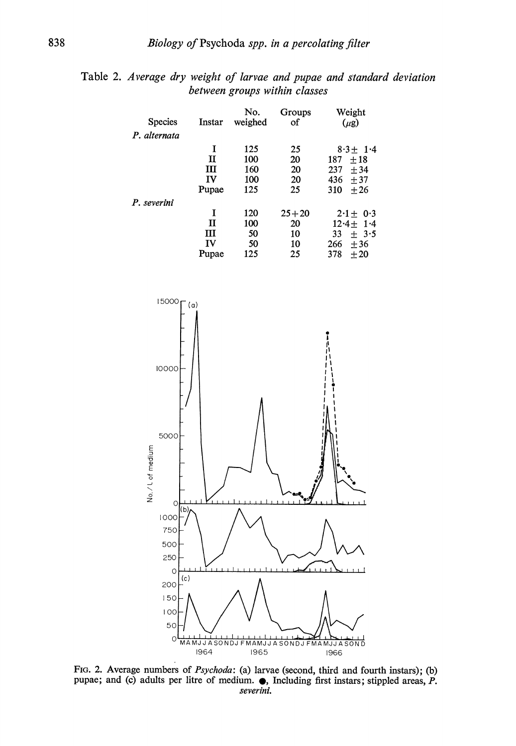| <b>Species</b><br>P. alternata | Instar | No.<br>weighed | Groups<br>of | Weight<br>$(\mu g)$ |
|--------------------------------|--------|----------------|--------------|---------------------|
|                                | T      | 125            | 25           | $8.3 \pm 1.4$       |
|                                | π      | 100            | 20           | 187<br>$+18$        |
|                                | Ш      | 160            | 20           | 237<br>$+34$        |
|                                | TV     | 100            | 20           | 436<br>$+37$        |
|                                | Pupae  | 125            | 25           | 310<br>$+26$        |
| P. severini                    |        |                |              |                     |
|                                | T      | 120            | $25 + 20$    | $2.1 + 0.3$         |
|                                | π      | 100            | 20           | $12.4 +$<br>$1 - 4$ |
|                                | ш      | 50             | 10           | 33<br>$+3.5$        |
|                                | TV     | 50             | 10           | 266<br>±36          |
|                                | Pupae  | 125            | 25           | 378<br>$+20$        |

Table 2. Average dry weight of larvae and pupae and standard deviation between groups within classes



FIG. 2. Average numbers of *Psychoda*: (a) larvae (second, third and fourth instars); (b) pupae; and  $(c)$  adults per litre of medium.  $\bullet$ , Including first instars; stippled areas, P. severini.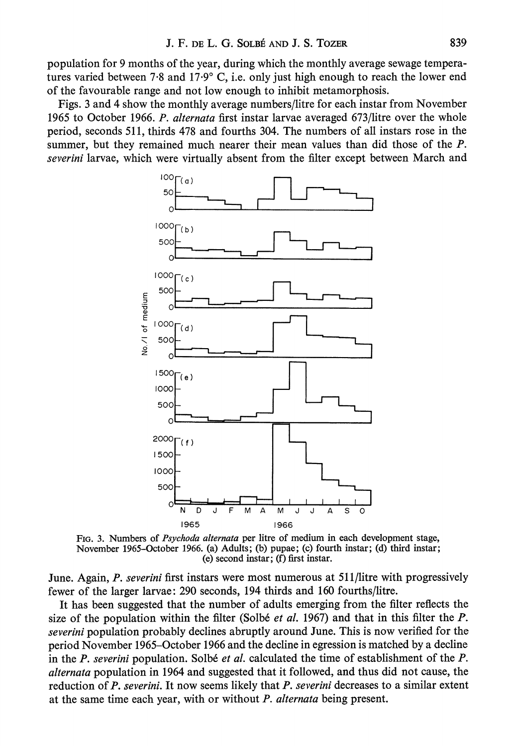population for 9 months of the year, during which the monthly average sewage temperatures varied between 7.8 and  $17.9^{\circ}$  C, i.e. only just high enough to reach the lower end of the favourable range and not low enough to inhibit metamorphosis.

Figs. 3 and 4 show the monthly average numbers/litre foreach instar from November 1965 to October 1966. P. alternata first instar larvae averaged 673/litre over the whole period, seconds 511, thirds 478 and fourths 304. The numbers of all instars rose in the summer, but they remained much nearer their mean values than did those of the P. severini larvae, which were virtually absent from the filter except between March and



FIG. 3. Numbers of Psychoda alternata per litre of medium in each development stage, November 1965-October 1966. (a) Adults; (b) pupae; (c) fourth instar; (d) third instar; (e) second instar; (f) first instar.

June. Again, P. severini first instars were most numerous at 511/litre with progressively fewer of the larger larvae: 290 seconds, 194 thirds and 160 fourths/litre.

It has been suggested that the number of adults emerging from the filter reflects the size of the population within the filter (Solbé *et al.* 1967) and that in this filter the  $P$ . severini population probably declines abruptly around June. This is now verified for the period November 1965-October 1966 and the decline in egression is matched by a decline in the P. severini population. Solbé et al. calculated the time of establishment of the  $P$ . alternata population in 1964 and suggested that it followed, and thus did not cause, the reduction of P. severini. It now seems likely that P. severini decreases to a similar extent at the same time each year, with or without  $P$ . alternata being present.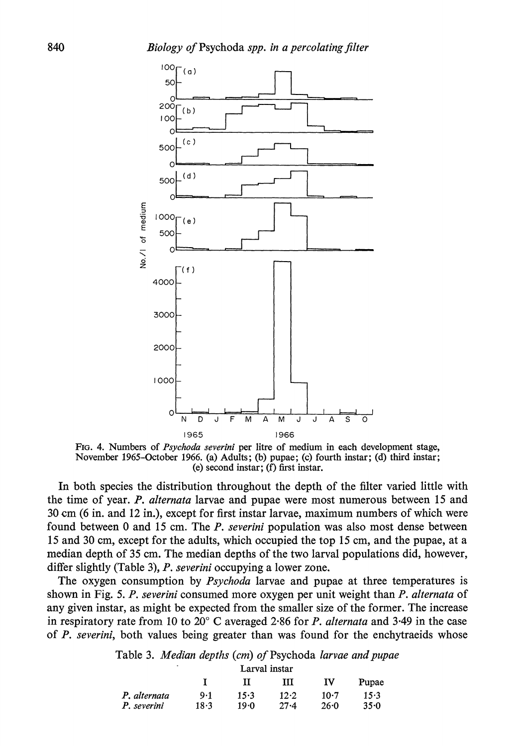

FIG. 4. Numbers of *Psychoda severini* per litre of medium in each development stage, November 1965-October 1966. (a) Adults; (b) pupae; (c) fourth instar; (d) third instar; (e) second instar; (f) first instar.

In both species the distribution throughout the depth of the filter varied little with the time of year. P. alternata larvae and pupae were most numerous between 15 and 30 cm (6 in. and 12 in.), except for first instar larvae, maximum numbers of which were found between 0 and 15 cm. The  $P$ . severini population was also most dense between 15 and 30 cm, except for the adults, which occupied the top 15 cm, and the pupae, at a median depth of 35 cm. The median depths of the two larval populations did, however, differ slightly (Table 3), P. severini occupying a lower zone.

The oxygen consumption by *Psychoda* larvae and pupae at three temperatures is shown in Fig. 5. P. severini consumed more oxygen per unit weight than P. alternata of any given instar, as might be expected from the smaller size of the former. The increase in respiratory rate from 10 to 20 $^{\circ}$  C averaged 2.86 for P. alternata and 3.49 in the case of  $P$ , severini, both values being greater than was found for the enchytraeids whose

Table 3. Median depths (cm) of Psychoda larvae and pupae

| $\overline{\phantom{a}}$ | Larval instar |      |      |        |          |
|--------------------------|---------------|------|------|--------|----------|
|                          |               | п    | ш    | TV     | Pupae    |
| P. alternata             | $9 - 1$       | 15.3 | 12.2 | $10-7$ | 15.3     |
| P. severini              | $18 - 3$      | 19.0 | 27.4 | 26.0   | $35 - 0$ |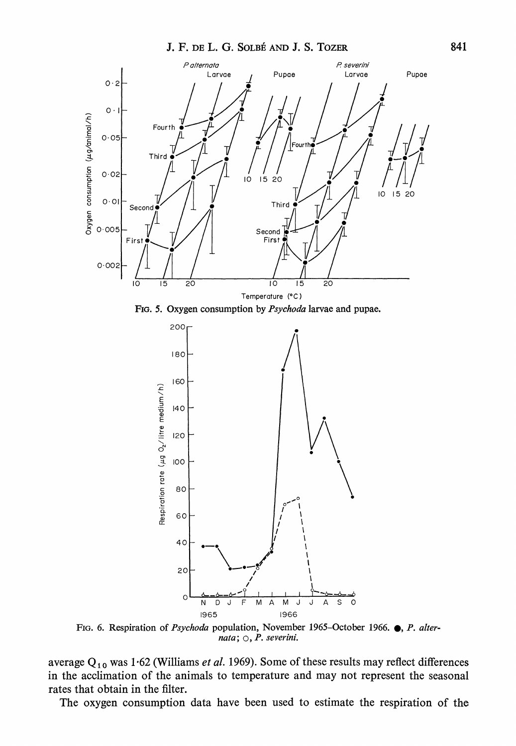

FIG. 6. Respiration of Psychoda population, November 1965-October 1966. ., P. alternata;  $\circ$ , P. severini.

average  $Q_{10}$  was 1.62 (Williams et al. 1969). Some of these results may reflect differences in the acclimation of the animals to temperature and may not represent the seasonal rates that obtain in the filter.

The oxygen consumption data have been used to estimate the respiration of the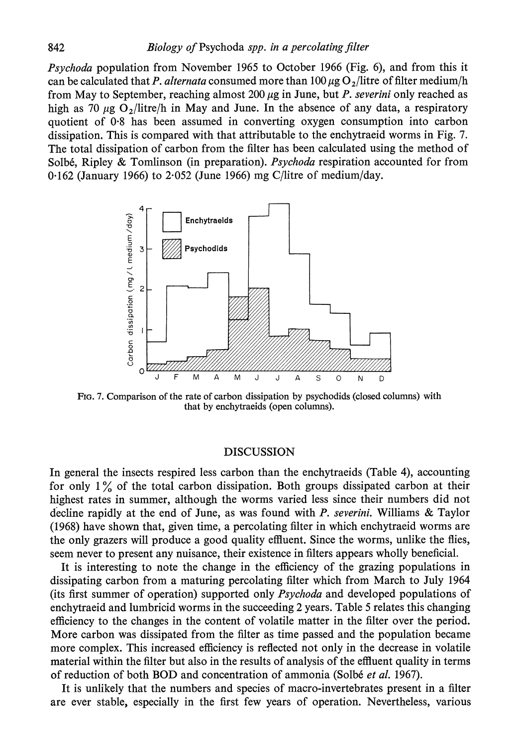Psychoda population from November 1965 to October 1966 (Fig. 6), and from this it can be calculated that P. alternata consumed more than 100  $\mu$ g O<sub>2</sub>/litre of filter medium/h from May to September, reaching almost 200  $\mu$ g in June, but *P. severini* only reached as high as 70  $\mu$ g O<sub>2</sub>/litre/h in May and June. In the absence of any data, a respiratory quotient of 0.8 has been assumed in converting oxygen consumption into carbon dissipation. This is compared with that attributable to the enchytraeid worms in Fig. 7. The total dissipation of carbon from the filter has been calculated using the method of Solbé, Ripley & Tomlinson (in preparation). *Psychoda* respiration accounted for from  $0.162$  (January 1966) to 2.052 (June 1966) mg C/litre of medium/day.



FIG. 7. Comparison of the rate of carbon dissipation by psychodids (closed columns) with that by enchytraeids (open columns).

## DISCUSSION

In general the insects respired less carbon than the enchytraeids (Table 4), accounting for only  $1\%$  of the total carbon dissipation. Both groups dissipated carbon at their highest rates in summer, although the worms varied less since their numbers did not decline rapidly at the end of June, as was found with P. severini. Williams  $\&$  Taylor (1968) have shown that, given time, a percolating filter in which enchytraeid worms are the only grazers will produce a good quality effluent. Since the worms, unlike the flies, seem never to present any nuisance, their existence in filters appears wholly beneficial.

It is interesting to note the change in the efficiency of the grazing populations in dissipating carbon from a maturing percolating filter which from March to July 1964 (its first summer of operation) supported only Psychoda and developed populations of enchytraeid and lumbricid worms in the succeeding 2 years. Table 5 relates this changing efficiency to the changes in the content of volatile matter in the filter over the period. More carbon was dissipated from the filter as time passed and the population became more complex. This increased efficiency is reflected not only in the decrease in volatile material within the filter but also in the results of analysis of the effluent quality in terms of reduction of both BOD and concentration of ammonia (Solbé et al. 1967).

It is unlikely that the numbers and species of macro-invertebrates present in a filter are ever stable, especially in the first few years of operation. Nevertheless, various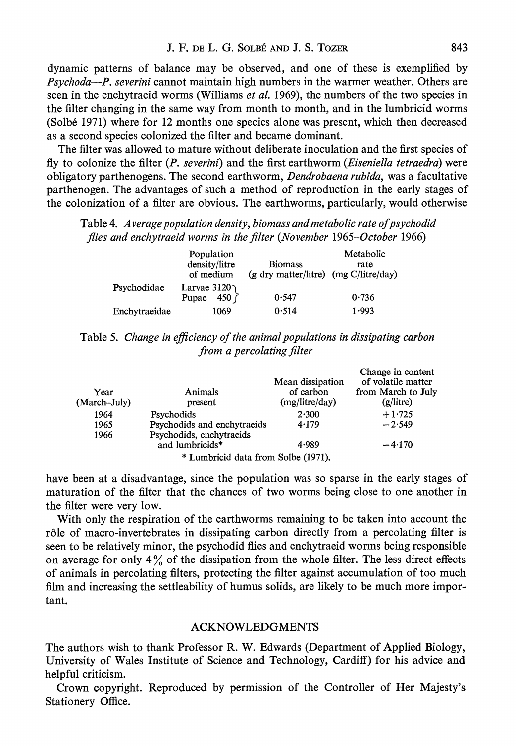dynamic patterns of balance may be observed, and one of these is exemplified by Psychoda-P. severini cannot maintain high numbers in the warmer weather. Others are seen in the enchytraeid worms (Williams *et al.* 1969), the numbers of the two species in the filter changing in the same way from month to month, and in the lumbricid worms (Solbe 1971) where for 12 months one species alone was present, which then decreased as a second species colonized the filter and became dominant.

The filter was allowed to mature without deliberate inoculation and the first species of fly to colonize the filter  $(P.$  severini) and the first earthworm (*Eiseniella tetraedra*) were obligatory parthenogens. The second earthworm, Dendrobaena rubida, was a facultative parthenogen. The advantages of such a method of reproduction in the early stages of the colonization of a filter are obvious. The earthworms, particularly, would otherwise

Table 4. Average population density, biomass and metabolic rate of psychodid flies and enchytraeid worms in the filter (November 1965-October 1966)

|               | Population<br>density/litre<br>of medium | <b>Biomass</b><br>$(g$ dry matter/litre) (mg C/litre/day) | Metabolic<br>rate |
|---------------|------------------------------------------|-----------------------------------------------------------|-------------------|
| Psychodidae   | Larvae $3120$<br>Pupae<br>450 r          | 0.547                                                     | 0.736             |
| Enchytraeidae | 1069                                     | 0.514                                                     | 1.993             |

Table 5. Change in efficiency of the animal populations in dissipating carbon from a percolating filter

| Year<br>(March–July) | Animals<br>present                          | Mean dissipation<br>of carbon<br>(mg/litre/day) | Change in content<br>of volatile matter<br>from March to July<br>(g/litre) |
|----------------------|---------------------------------------------|-------------------------------------------------|----------------------------------------------------------------------------|
| 1964                 | Psychodids                                  | 2.300                                           | $+1.725$                                                                   |
| 1965                 | Psychodids and enchytraeids                 | 4.179                                           | $-2.549$                                                                   |
| 1966                 | Psychodids, enchytraeids<br>and lumbricids* | 4.989                                           | $-4.170$                                                                   |
|                      | * Lumbricid data from Solbe (1971)          |                                                 |                                                                            |

Lumbricid data from Solbe (1971).

have been at a disadvantage, since the population was so sparse in the early stages of maturation of the filter that the chances of two worms being close to one another in the filter were very low.

With only the respiration of the earthworms remaining to be taken into account the rôle of macro-invertebrates in dissipating carbon directly from a percolating filter is seen to be relatively minor, the psychodid flies and enchytraeid worms being responsible on average for only  $4\%$  of the dissipation from the whole filter. The less direct effects of animals in percolating filters, protecting the filter against accumulation of too much film and increasing the settleability of humus solids, are likely to be much more important.

## ACKNOWLEDGMENTS

The authors wish to thank Professor R. W. Edwards (Department of Applied Biology, University of Wales Institute of Science and Technology, Cardiff) for his advice and helpful criticism.

Crown copyright. Reproduced by permission of the Controller of Her Majesty's Stationery Office.